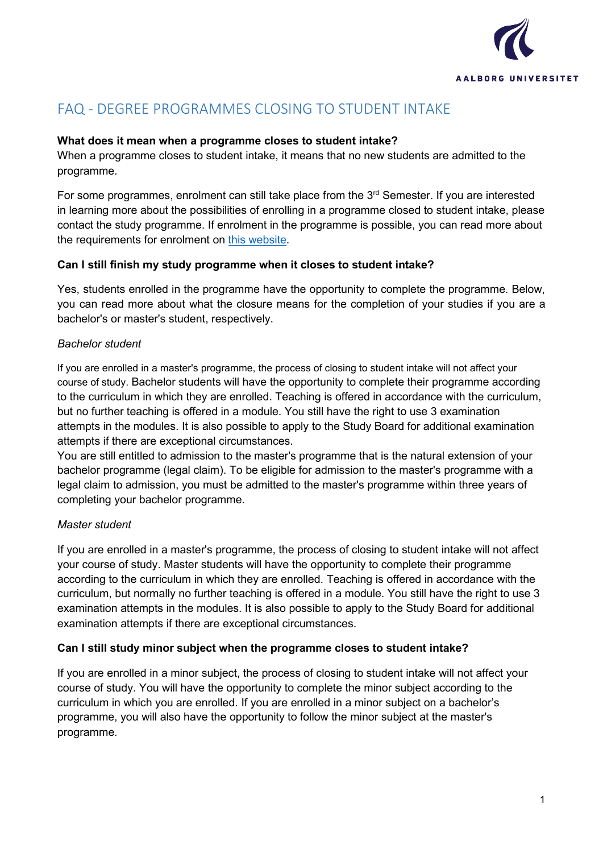

# FAQ - DEGREE PROGRAMMES CLOSING TO STUDENT INTAKE

## **What does it mean when a programme closes to student intake?**

When a programme closes to student intake, it means that no new students are admitted to the programme.

For some programmes, enrolment can still take place from the  $3<sup>rd</sup>$  Semester. If you are interested in learning more about the possibilities of enrolling in a programme closed to student intake, please contact the study programme. If enrolment in the programme is possible, you can read more about the requirements for enrolment on [this website.](https://www.en.aau.dk/education/apply/enrolment-credit-transfer/enrolment/)

### **Can I still finish my study programme when it closes to student intake?**

Yes, students enrolled in the programme have the opportunity to complete the programme. Below, you can read more about what the closure means for the completion of your studies if you are a bachelor's or master's student, respectively.

### *Bachelor student*

If you are enrolled in a master's programme, the process of closing to student intake will not affect your course of study. Bachelor students will have the opportunity to complete their programme according to the curriculum in which they are enrolled. Teaching is offered in accordance with the curriculum, but no further teaching is offered in a module. You still have the right to use 3 examination attempts in the modules. It is also possible to apply to the Study Board for additional examination attempts if there are exceptional circumstances.

You are still entitled to admission to the master's programme that is the natural extension of your bachelor programme (legal claim). To be eligible for admission to the master's programme with a legal claim to admission, you must be admitted to the master's programme within three years of completing your bachelor programme.

# *Master student*

If you are enrolled in a master's programme, the process of closing to student intake will not affect your course of study. Master students will have the opportunity to complete their programme according to the curriculum in which they are enrolled. Teaching is offered in accordance with the curriculum, but normally no further teaching is offered in a module. You still have the right to use 3 examination attempts in the modules. It is also possible to apply to the Study Board for additional examination attempts if there are exceptional circumstances.

#### **Can I still study minor subject when the programme closes to student intake?**

If you are enrolled in a minor subject, the process of closing to student intake will not affect your course of study. You will have the opportunity to complete the minor subject according to the curriculum in which you are enrolled. If you are enrolled in a minor subject on a bachelor's programme, you will also have the opportunity to follow the minor subject at the master's programme.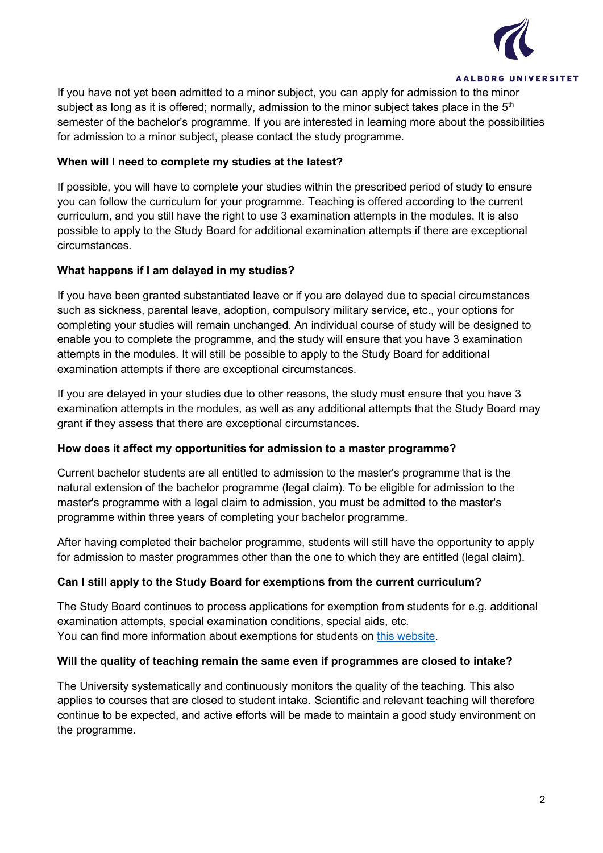

If you have not yet been admitted to a minor subject, you can apply for admission to the minor subject as long as it is offered; normally, admission to the minor subject takes place in the  $5<sup>th</sup>$ semester of the bachelor's programme. If you are interested in learning more about the possibilities for admission to a minor subject, please contact the study programme.

### **When will I need to complete my studies at the latest?**

If possible, you will have to complete your studies within the prescribed period of study to ensure you can follow the curriculum for your programme. Teaching is offered according to the current curriculum, and you still have the right to use 3 examination attempts in the modules. It is also possible to apply to the Study Board for additional examination attempts if there are exceptional circumstances.

# **What happens if I am delayed in my studies?**

If you have been granted substantiated leave or if you are delayed due to special circumstances such as sickness, parental leave, adoption, compulsory military service, etc., your options for completing your studies will remain unchanged. An individual course of study will be designed to enable you to complete the programme, and the study will ensure that you have 3 examination attempts in the modules. It will still be possible to apply to the Study Board for additional examination attempts if there are exceptional circumstances.

If you are delayed in your studies due to other reasons, the study must ensure that you have 3 examination attempts in the modules, as well as any additional attempts that the Study Board may grant if they assess that there are exceptional circumstances.

#### **How does it affect my opportunities for admission to a master programme?**

Current bachelor students are all entitled to admission to the master's programme that is the natural extension of the bachelor programme (legal claim). To be eligible for admission to the master's programme with a legal claim to admission, you must be admitted to the master's programme within three years of completing your bachelor programme.

After having completed their bachelor programme, students will still have the opportunity to apply for admission to master programmes other than the one to which they are entitled (legal claim).

# **Can I still apply to the Study Board for exemptions from the current curriculum?**

The Study Board continues to process applications for exemption from students for e.g. additional examination attempts, special examination conditions, special aids, etc. You can find more information about exemptions for students on [this website.](https://www.en.aau.dk/education/student-guidance/rules/exemptions/#273763)

#### **Will the quality of teaching remain the same even if programmes are closed to intake?**

The University systematically and continuously monitors the quality of the teaching. This also applies to courses that are closed to student intake. Scientific and relevant teaching will therefore continue to be expected, and active efforts will be made to maintain a good study environment on the programme.